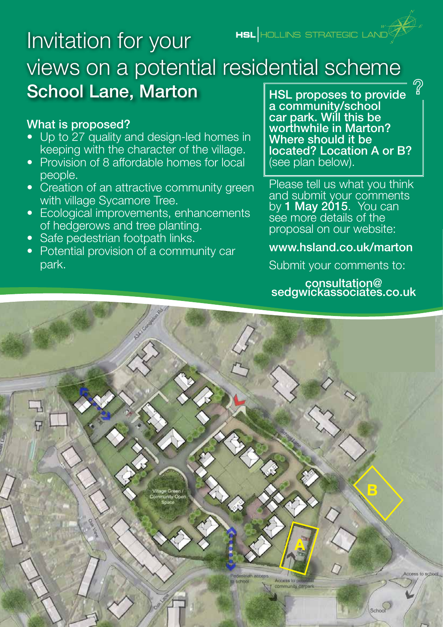HSL HOLLINS STRATEGIC LAND

# Invitation for your views on a potential residential scheme School Lane, Marton

#### What is proposed?

- Up to 27 quality and design-led homes in keeping with the character of the village.
- Provision of 8 affordable homes for local people.
- Creation of an attractive community green with village Sycamore Tree.
- Ecological improvements, enhancements of hedgerows and tree planting.
- Safe pedestrian footpath links.
- Potential provision of a community car park.

HSL proposes to provide a community/school car park. Will this be worthwhile in Marton? Where should it be located? Location A or B? (see plan below).

Please tell us what you think and submit your comments by **1 May 2015**. You can see more details of the proposal on our website:

#### www.hsland.co.uk/marton

Submit your comments to:

consultation@ sedgwickassociates.co.uk